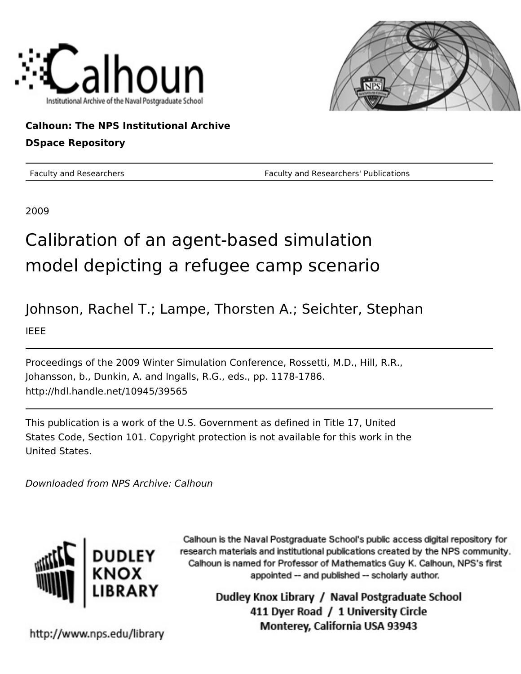



### **Calhoun: The NPS Institutional Archive DSpace Repository**

Faculty and Researchers Faculty and Researchers' Publications

2009

# Calibration of an agent-based simulation model depicting a refugee camp scenario

## Johnson, Rachel T.; Lampe, Thorsten A.; Seichter, Stephan IEEE

Proceedings of the 2009 Winter Simulation Conference, Rossetti, M.D., Hill, R.R., Johansson, b., Dunkin, A. and Ingalls, R.G., eds., pp. 1178-1786. http://hdl.handle.net/10945/39565

This publication is a work of the U.S. Government as defined in Title 17, United States Code, Section 101. Copyright protection is not available for this work in the United States.

Downloaded from NPS Archive: Calhoun



Calhoun is the Naval Postgraduate School's public access digital repository for research materials and institutional publications created by the NPS community. Calhoun is named for Professor of Mathematics Guy K. Calhoun, NPS's first appointed -- and published -- scholarly author.

> Dudley Knox Library / Naval Postgraduate School 411 Dyer Road / 1 University Circle Monterey, California USA 93943

http://www.nps.edu/library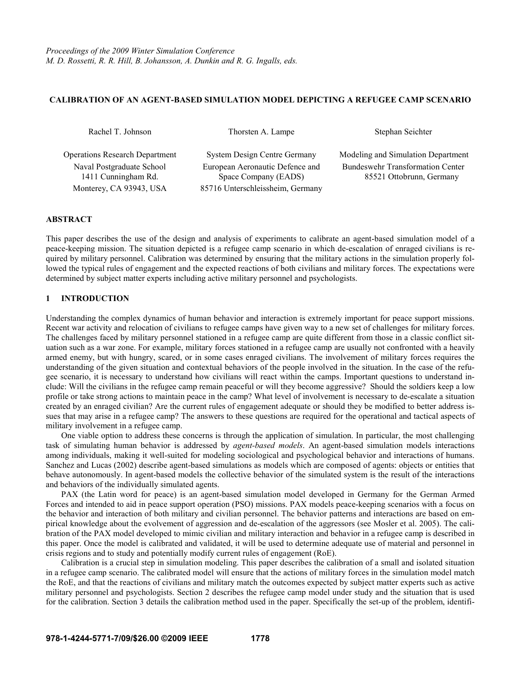#### **CALIBRATION OF AN AGENT-BASED SIMULATION MODEL DEPICTING A REFUGEE CAMP SCENARIO**

| Rachel T. Johnson |  |  |
|-------------------|--|--|
|-------------------|--|--|

Thorsten A. Lampe Stephan Seichter

Operations Research Department System Design Centre Germany Modeling and Simulation Department Naval Postgraduate School 1411 Cunningham Rd.

European Aeronautic Defence and Space Company (EADS) Monterey, CA 93943, USA 85716 Unterschleissheim, Germany Bundeswehr Transformation Center 85521 Ottobrunn, Germany

#### **ABSTRACT**

This paper describes the use of the design and analysis of experiments to calibrate an agent-based simulation model of a peace-keeping mission. The situation depicted is a refugee camp scenario in which de-escalation of enraged civilians is required by military personnel. Calibration was determined by ensuring that the military actions in the simulation properly followed the typical rules of engagement and the expected reactions of both civilians and military forces. The expectations were determined by subject matter experts including active military personnel and psychologists.

#### **1 INTRODUCTION**

Understanding the complex dynamics of human behavior and interaction is extremely important for peace support missions. Recent war activity and relocation of civilians to refugee camps have given way to a new set of challenges for military forces. The challenges faced by military personnel stationed in a refugee camp are quite different from those in a classic conflict situation such as a war zone. For example, military forces stationed in a refugee camp are usually not confronted with a heavily armed enemy, but with hungry, scared, or in some cases enraged civilians. The involvement of military forces requires the understanding of the given situation and contextual behaviors of the people involved in the situation. In the case of the refugee scenario, it is necessary to understand how civilians will react within the camps. Important questions to understand include: Will the civilians in the refugee camp remain peaceful or will they become aggressive? Should the soldiers keep a low profile or take strong actions to maintain peace in the camp? What level of involvement is necessary to de-escalate a situation created by an enraged civilian? Are the current rules of engagement adequate or should they be modified to better address issues that may arise in a refugee camp? The answers to these questions are required for the operational and tactical aspects of military involvement in a refugee camp.

One viable option to address these concerns is through the application of simulation. In particular, the most challenging task of simulating human behavior is addressed by *agent-based models*. An agent-based simulation models interactions among individuals, making it well-suited for modeling sociological and psychological behavior and interactions of humans. Sanchez and Lucas (2002) describe agent-based simulations as models which are composed of agents: objects or entities that behave autonomously. In agent-based models the collective behavior of the simulated system is the result of the interactions and behaviors of the individually simulated agents.

PAX (the Latin word for peace) is an agent-based simulation model developed in Germany for the German Armed Forces and intended to aid in peace support operation (PSO) missions. PAX models peace-keeping scenarios with a focus on the behavior and interaction of both military and civilian personnel. The behavior patterns and interactions are based on empirical knowledge about the evolvement of aggression and de-escalation of the aggressors (see Mosler et al. 2005). The calibration of the PAX model developed to mimic civilian and military interaction and behavior in a refugee camp is described in this paper. Once the model is calibrated and validated, it will be used to determine adequate use of material and personnel in crisis regions and to study and potentially modify current rules of engagement (RoE).

Calibration is a crucial step in simulation modeling. This paper describes the calibration of a small and isolated situation in a refugee camp scenario. The calibrated model will ensure that the actions of military forces in the simulation model match the RoE, and that the reactions of civilians and military match the outcomes expected by subject matter experts such as active military personnel and psychologists. Section 2 describes the refugee camp model under study and the situation that is used for the calibration. Section 3 details the calibration method used in the paper. Specifically the set-up of the problem, identifi-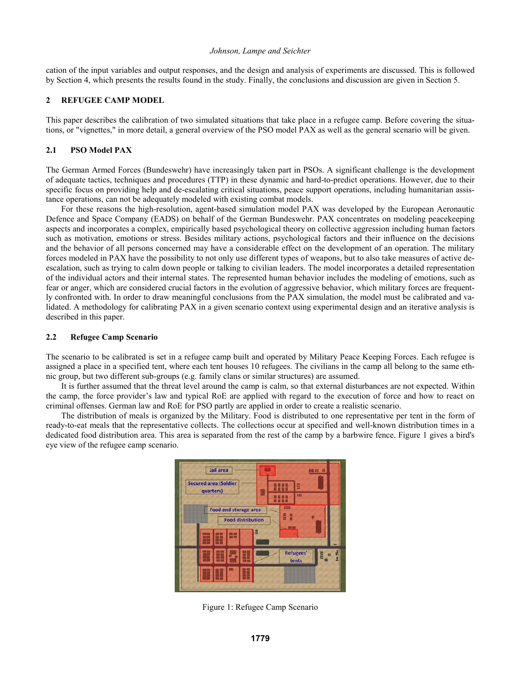cation of the input variables and output responses, and the design and analysis of experiments are discussed. This is followed by Section 4, which presents the results found in the study. Finally, the conclusions and discussion are given in Section 5.

#### **2 REFUGEE CAMP MODEL**

This paper describes the calibration of two simulated situations that take place in a refugee camp. Before covering the situations, or "vignettes," in more detail, a general overview of the PSO model PAX as well as the general scenario will be given.

#### **2.1 PSO Model PAX**

The German Armed Forces (Bundeswehr) have increasingly taken part in PSOs. A significant challenge is the development of adequate tactics, techniques and procedures (TTP) in these dynamic and hard-to-predict operations. However, due to their specific focus on providing help and de-escalating critical situations, peace support operations, including humanitarian assistance operations, can not be adequately modeled with existing combat models.

For these reasons the high-resolution, agent-based simulation model PAX was developed by the European Aeronautic Defence and Space Company (EADS) on behalf of the German Bundeswehr. PAX concentrates on modeling peacekeeping aspects and incorporates a complex, empirically based psychological theory on collective aggression including human factors such as motivation, emotions or stress. Besides military actions, psychological factors and their influence on the decisions and the behavior of all persons concerned may have a considerable effect on the development of an operation. The military forces modeled in PAX have the possibility to not only use different types of weapons, but to also take measures of active deescalation, such as trying to calm down people or talking to civilian leaders. The model incorporates a detailed representation of the individual actors and their internal states. The represented human behavior includes the modeling of emotions, such as fear or anger, which are considered crucial factors in the evolution of aggressive behavior, which military forces are frequently confronted with. In order to draw meaningful conclusions from the PAX simulation, the model must be calibrated and validated. A methodology for calibrating PAX in a given scenario context using experimental design and an iterative analysis is described in this paper.

#### **2.2 Refugee Camp Scenario**

The scenario to be calibrated is set in a refugee camp built and operated by Military Peace Keeping Forces. Each refugee is assigned a place in a specified tent, where each tent houses 10 refugees. The civilians in the camp all belong to the same ethnic group, but two different sub-groups (e.g. family clans or similar structures) are assumed.

It is further assumed that the threat level around the camp is calm, so that external disturbances are not expected. Within the camp, the force provider's law and typical RoE are applied with regard to the execution of force and how to react on criminal offenses. German law and RoE for PSO partly are applied in order to create a realistic scenario.

The distribution of meals is organized by the Military. Food is distributed to one representative per tent in the form of ready-to-eat meals that the representative collects. The collections occur at specified and well-known distribution times in a dedicated food distribution area. This area is separated from the rest of the camp by a barbwire fence. Figure 1 gives a bird's eye view of the refugee camp scenario.



Figure 1: Refugee Camp Scenario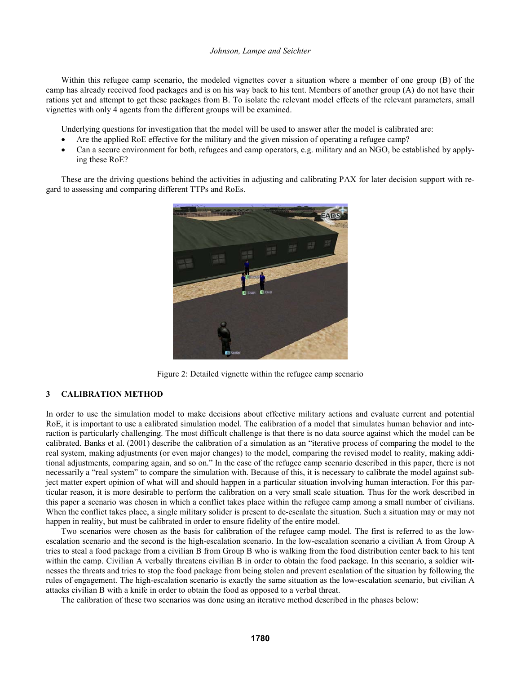Within this refugee camp scenario, the modeled vignettes cover a situation where a member of one group (B) of the camp has already received food packages and is on his way back to his tent. Members of another group (A) do not have their rations yet and attempt to get these packages from B. To isolate the relevant model effects of the relevant parameters, small vignettes with only 4 agents from the different groups will be examined.

Underlying questions for investigation that the model will be used to answer after the model is calibrated are:

- Are the applied RoE effective for the military and the given mission of operating a refugee camp?
- Can a secure environment for both, refugees and camp operators, e.g. military and an NGO, be established by applying these RoE?

These are the driving questions behind the activities in adjusting and calibrating PAX for later decision support with regard to assessing and comparing different TTPs and RoEs.



Figure 2: Detailed vignette within the refugee camp scenario

#### **3 CALIBRATION METHOD**

In order to use the simulation model to make decisions about effective military actions and evaluate current and potential RoE, it is important to use a calibrated simulation model. The calibration of a model that simulates human behavior and interaction is particularly challenging. The most difficult challenge is that there is no data source against which the model can be calibrated. Banks et al. (2001) describe the calibration of a simulation as an "iterative process of comparing the model to the real system, making adjustments (or even major changes) to the model, comparing the revised model to reality, making additional adjustments, comparing again, and so on." In the case of the refugee camp scenario described in this paper, there is not necessarily a "real system" to compare the simulation with. Because of this, it is necessary to calibrate the model against subject matter expert opinion of what will and should happen in a particular situation involving human interaction. For this particular reason, it is more desirable to perform the calibration on a very small scale situation. Thus for the work described in this paper a scenario was chosen in which a conflict takes place within the refugee camp among a small number of civilians. When the conflict takes place, a single military solider is present to de-escalate the situation. Such a situation may or may not happen in reality, but must be calibrated in order to ensure fidelity of the entire model.

Two scenarios were chosen as the basis for calibration of the refugee camp model. The first is referred to as the lowescalation scenario and the second is the high-escalation scenario. In the low-escalation scenario a civilian A from Group A tries to steal a food package from a civilian B from Group B who is walking from the food distribution center back to his tent within the camp. Civilian A verbally threatens civilian B in order to obtain the food package. In this scenario, a soldier witnesses the threats and tries to stop the food package from being stolen and prevent escalation of the situation by following the rules of engagement. The high-escalation scenario is exactly the same situation as the low-escalation scenario, but civilian A attacks civilian B with a knife in order to obtain the food as opposed to a verbal threat.

The calibration of these two scenarios was done using an iterative method described in the phases below: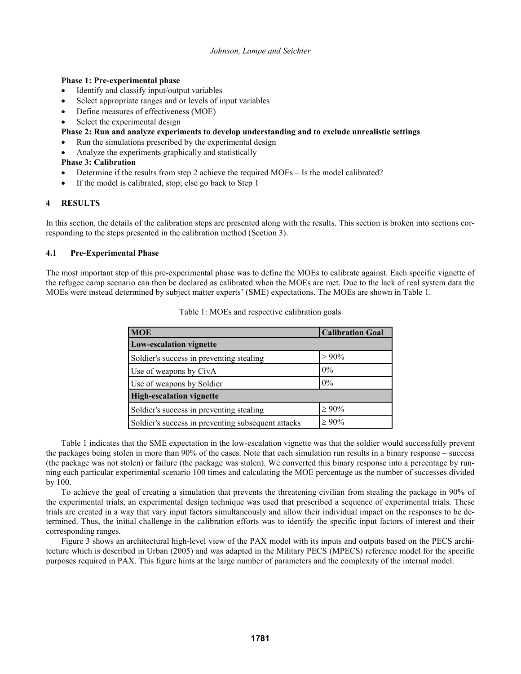#### **Phase 1: Pre-experimental phase**

- Identify and classify input/output variables
- Select appropriate ranges and or levels of input variables
- Define measures of effectiveness (MOE)
- Select the experimental design

#### **Phase 2: Run and analyze experiments to develop understanding and to exclude unrealistic settings**

- Run the simulations prescribed by the experimental design
- Analyze the experiments graphically and statistically

#### **Phase 3: Calibration**

- Determine if the results from step 2 achieve the required MOEs Is the model calibrated?
- If the model is calibrated, stop; else go back to Step 1

#### **4 RESULTS**

In this section, the details of the calibration steps are presented along with the results. This section is broken into sections corresponding to the steps presented in the calibration method (Section 3).

#### **4.1 Pre-Experimental Phase**

The most important step of this pre-experimental phase was to define the MOEs to calibrate against. Each specific vignette of the refugee camp scenario can then be declared as calibrated when the MOEs are met. Due to the lack of real system data the MOEs were instead determined by subject matter experts' (SME) expectations. The MOEs are shown in Table 1.

| <b>MOE</b>                                         | <b>Calibration Goal</b> |
|----------------------------------------------------|-------------------------|
| Low-escalation vignette                            |                         |
| Soldier's success in preventing stealing           | $> 90\%$                |
| Use of weapons by CivA                             | 0%                      |
| Use of weapons by Soldier                          | 0%                      |
| <b>High-escalation vignette</b>                    |                         |
| Soldier's success in preventing stealing           | $\geq 90\%$             |
| Soldier's success in preventing subsequent attacks | $\geq 90\%$             |

|  |  |  |  | Table 1: MOEs and respective calibration goals |  |
|--|--|--|--|------------------------------------------------|--|
|--|--|--|--|------------------------------------------------|--|

Table 1 indicates that the SME expectation in the low-escalation vignette was that the soldier would successfully prevent the packages being stolen in more than 90% of the cases. Note that each simulation run results in a binary response – success (the package was not stolen) or failure (the package was stolen). We converted this binary response into a percentage by running each particular experimental scenario 100 times and calculating the MOE percentage as the number of successes divided by 100.

To achieve the goal of creating a simulation that prevents the threatening civilian from stealing the package in 90% of the experimental trials, an experimental design technique was used that prescribed a sequence of experimental trials. These trials are created in a way that vary input factors simultaneously and allow their individual impact on the responses to be determined. Thus, the initial challenge in the calibration efforts was to identify the specific input factors of interest and their corresponding ranges.

Figure 3 shows an architectural high-level view of the PAX model with its inputs and outputs based on the PECS architecture which is described in Urban (2005) and was adapted in the Military PECS (MPECS) reference model for the specific purposes required in PAX. This figure hints at the large number of parameters and the complexity of the internal model.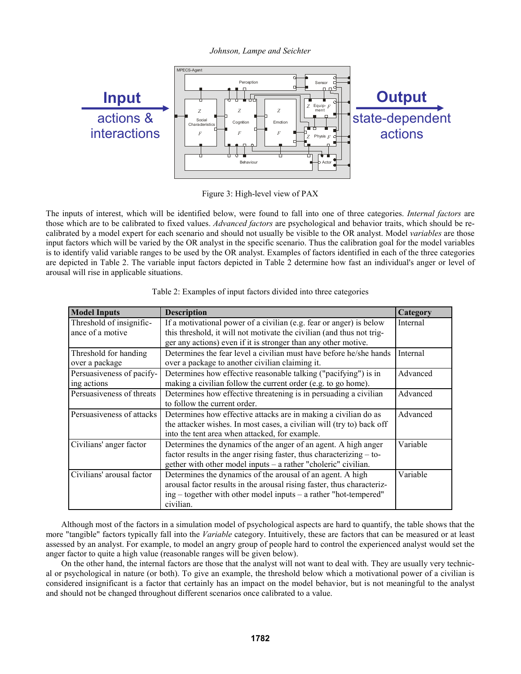

Figure 3: High-level view of PAX

The inputs of interest, which will be identified below, were found to fall into one of three categories. *Internal factors* are those which are to be calibrated to fixed values. *Advanced factors* are psychological and behavior traits, which should be recalibrated by a model expert for each scenario and should not usually be visible to the OR analyst. Model *variables* are those input factors which will be varied by the OR analyst in the specific scenario. Thus the calibration goal for the model variables is to identify valid variable ranges to be used by the OR analyst. Examples of factors identified in each of the three categories are depicted in Table 2. The variable input factors depicted in Table 2 determine how fast an individual's anger or level of arousal will rise in applicable situations.

| <b>Model Inputs</b>       | <b>Description</b>                                                     | Category |
|---------------------------|------------------------------------------------------------------------|----------|
| Threshold of insignific-  | If a motivational power of a civilian (e.g. fear or anger) is below    | Internal |
| ance of a motive          | this threshold, it will not motivate the civilian (and thus not trig-  |          |
|                           | ger any actions) even if it is stronger than any other motive.         |          |
| Threshold for handing     | Determines the fear level a civilian must have before he/she hands     | Internal |
| over a package            | over a package to another civilian claiming it.                        |          |
| Persuasiveness of pacify- | Determines how effective reasonable talking ("pacifying") is in        | Advanced |
| ing actions               | making a civilian follow the current order (e.g. to go home).          |          |
| Persuasiveness of threats | Determines how effective threatening is in persuading a civilian       | Advanced |
|                           | to follow the current order.                                           |          |
| Persuasiveness of attacks | Determines how effective attacks are in making a civilian do as        | Advanced |
|                           | the attacker wishes. In most cases, a civilian will (try to) back off  |          |
|                           | into the tent area when attacked, for example.                         |          |
| Civilians' anger factor   | Determines the dynamics of the anger of an agent. A high anger         | Variable |
|                           | factor results in the anger rising faster, thus characterizing – to-   |          |
|                           | gether with other model inputs – a rather "choleric" civilian.         |          |
| Civilians' arousal factor | Determines the dynamics of the arousal of an agent. A high             | Variable |
|                           | arousal factor results in the arousal rising faster, thus characteriz- |          |
|                           | ing – together with other model inputs – a rather "hot-tempered"       |          |
|                           | civilian.                                                              |          |

Table 2: Examples of input factors divided into three categories

Although most of the factors in a simulation model of psychological aspects are hard to quantify, the table shows that the more "tangible" factors typically fall into the *Variable* category. Intuitively, these are factors that can be measured or at least assessed by an analyst. For example, to model an angry group of people hard to control the experienced analyst would set the anger factor to quite a high value (reasonable ranges will be given below).

On the other hand, the internal factors are those that the analyst will not want to deal with. They are usually very technical or psychological in nature (or both). To give an example, the threshold below which a motivational power of a civilian is considered insignificant is a factor that certainly has an impact on the model behavior, but is not meaningful to the analyst and should not be changed throughout different scenarios once calibrated to a value.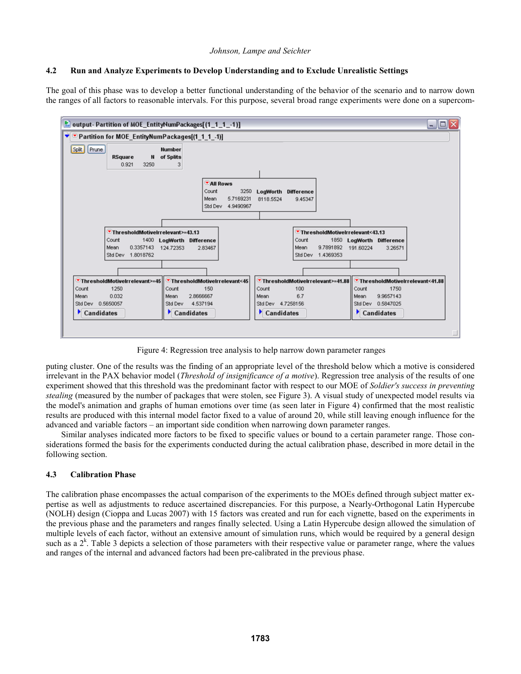#### **4.2 Run and Analyze Experiments to Develop Understanding and to Exclude Unrealistic Settings**

The goal of this phase was to develop a better functional understanding of the behavior of the scenario and to narrow down the ranges of all factors to reasonable intervals. For this purpose, several broad range experiments were done on a supercom-



Figure 4: Regression tree analysis to help narrow down parameter ranges

puting cluster. One of the results was the finding of an appropriate level of the threshold below which a motive is considered irrelevant in the PAX behavior model (*Threshold of insignificance of a motive*). Regression tree analysis of the results of one experiment showed that this threshold was the predominant factor with respect to our MOE of *Soldier's success in preventing stealing* (measured by the number of packages that were stolen, see Figure 3). A visual study of unexpected model results via the model's animation and graphs of human emotions over time (as seen later in Figure 4) confirmed that the most realistic results are produced with this internal model factor fixed to a value of around 20, while still leaving enough influence for the advanced and variable factors – an important side condition when narrowing down parameter ranges.

Similar analyses indicated more factors to be fixed to specific values or bound to a certain parameter range. Those considerations formed the basis for the experiments conducted during the actual calibration phase, described in more detail in the following section.

#### **4.3 Calibration Phase**

The calibration phase encompasses the actual comparison of the experiments to the MOEs defined through subject matter expertise as well as adjustments to reduce ascertained discrepancies. For this purpose, a Nearly-Orthogonal Latin Hypercube (NOLH) design (Cioppa and Lucas 2007) with 15 factors was created and run for each vignette, based on the experiments in the previous phase and the parameters and ranges finally selected. Using a Latin Hypercube design allowed the simulation of multiple levels of each factor, without an extensive amount of simulation runs, which would be required by a general design such as a  $2<sup>k</sup>$ . Table 3 depicts a selection of those parameters with their respective value or parameter range, where the values and ranges of the internal and advanced factors had been pre-calibrated in the previous phase.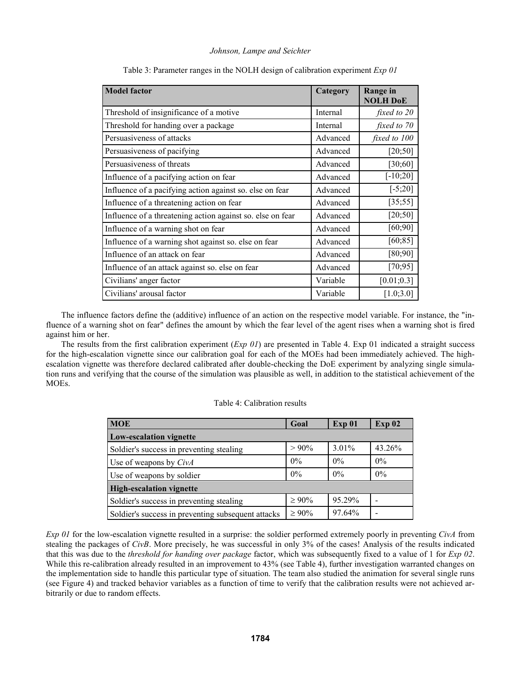| <b>Model factor</b>                                        | Category | Range in<br><b>NOLH DoE</b> |
|------------------------------------------------------------|----------|-----------------------------|
| Threshold of insignificance of a motive                    | Internal | fixed to 20                 |
| Threshold for handing over a package                       | Internal | fixed to 70                 |
| Persuasiveness of attacks                                  | Advanced | fixed to 100                |
| Persuasiveness of pacifying                                | Advanced | [20;50]                     |
| Persuasiveness of threats                                  | Advanced | [30;60]                     |
| Influence of a pacifying action on fear                    | Advanced | $[-10;20]$                  |
| Influence of a pacifying action against so. else on fear   | Advanced | $[-5;20]$                   |
| Influence of a threatening action on fear                  | Advanced | [35;55]                     |
| Influence of a threatening action against so. else on fear | Advanced | $[20;50]$                   |
| Influence of a warning shot on fear                        | Advanced | [60;90]                     |
| Influence of a warning shot against so. else on fear       | Advanced | [60;85]                     |
| Influence of an attack on fear                             | Advanced | [80;90]                     |
| Influence of an attack against so. else on fear            | Advanced | [70;95]                     |
| Civilians' anger factor                                    | Variable | [0.01; 0.3]                 |
| Civilians' arousal factor                                  | Variable | [1.0;3.0]                   |

| Table 3: Parameter ranges in the NOLH design of calibration experiment Exp 01 |  |  |
|-------------------------------------------------------------------------------|--|--|
|                                                                               |  |  |

The influence factors define the (additive) influence of an action on the respective model variable. For instance, the "influence of a warning shot on fear" defines the amount by which the fear level of the agent rises when a warning shot is fired against him or her.

The results from the first calibration experiment (*Exp 01*) are presented in Table 4. Exp 01 indicated a straight success for the high-escalation vignette since our calibration goal for each of the MOEs had been immediately achieved. The highescalation vignette was therefore declared calibrated after double-checking the DoE experiment by analyzing single simulation runs and verifying that the course of the simulation was plausible as well, in addition to the statistical achievement of the MOEs.

| Table 4: Calibration results |  |               |  |
|------------------------------|--|---------------|--|
|                              |  | $\Gamma$ Cool |  |

| <b>MOE</b>                                         | Goal        | Exp <sub>01</sub> | Exp 02 |
|----------------------------------------------------|-------------|-------------------|--------|
| Low-escalation vignette                            |             |                   |        |
| Soldier's success in preventing stealing           | $>90\%$     | $3.01\%$          | 43.26% |
| Use of weapons by CivA                             | $0\%$       | $0\%$             | $0\%$  |
| Use of weapons by soldier                          | $0\%$       | $0\%$             | $0\%$  |
| <b>High-escalation vignette</b>                    |             |                   |        |
| Soldier's success in preventing stealing           | $\geq 90\%$ | 95.29%            |        |
| Soldier's success in preventing subsequent attacks | $\geq 90\%$ | 97.64%            |        |

*Exp 01* for the low-escalation vignette resulted in a surprise: the soldier performed extremely poorly in preventing *CivA* from stealing the packages of *CivB*. More precisely, he was successful in only 3% of the cases! Analysis of the results indicated that this was due to the *threshold for handing over package* factor, which was subsequently fixed to a value of 1 for *Exp 02*. While this re-calibration already resulted in an improvement to 43% (see Table 4), further investigation warranted changes on the implementation side to handle this particular type of situation. The team also studied the animation for several single runs (see Figure 4) and tracked behavior variables as a function of time to verify that the calibration results were not achieved arbitrarily or due to random effects.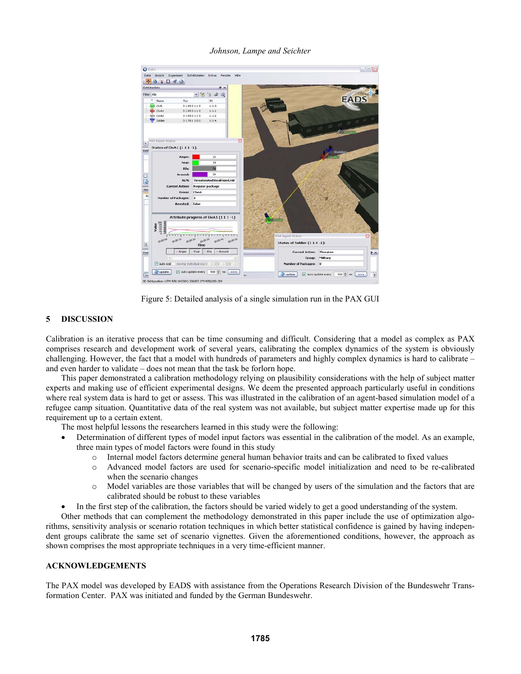

Figure 5: Detailed analysis of a single simulation run in the PAX GUI

#### **5 DISCUSSION**

Calibration is an iterative process that can be time consuming and difficult. Considering that a model as complex as PAX comprises research and development work of several years, calibrating the complex dynamics of the system is obviously challenging. However, the fact that a model with hundreds of parameters and highly complex dynamics is hard to calibrate – and even harder to validate – does not mean that the task be forlorn hope.

This paper demonstrated a calibration methodology relying on plausibility considerations with the help of subject matter experts and making use of efficient experimental designs. We deem the presented approach particularly useful in conditions where real system data is hard to get or assess. This was illustrated in the calibration of an agent-based simulation model of a refugee camp situation. Quantitative data of the real system was not available, but subject matter expertise made up for this requirement up to a certain extent.

The most helpful lessons the researchers learned in this study were the following:

- Determination of different types of model input factors was essential in the calibration of the model. As an example, three main types of model factors were found in this study
	- o Internal model factors determine general human behavior traits and can be calibrated to fixed values
	- o Advanced model factors are used for scenario-specific model initialization and need to be re-calibrated when the scenario changes
	- o Model variables are those variables that will be changed by users of the simulation and the factors that are calibrated should be robust to these variables
- In the first step of the calibration, the factors should be varied widely to get a good understanding of the system.

Other methods that can complement the methodology demonstrated in this paper include the use of optimization algorithms, sensitivity analysis or scenario rotation techniques in which better statistical confidence is gained by having independent groups calibrate the same set of scenario vignettes. Given the aforementioned conditions, however, the approach as shown comprises the most appropriate techniques in a very time-efficient manner.

#### **ACKNOWLEDGEMENTS**

The PAX model was developed by EADS with assistance from the Operations Research Division of the Bundeswehr Transformation Center. PAX was initiated and funded by the German Bundeswehr.